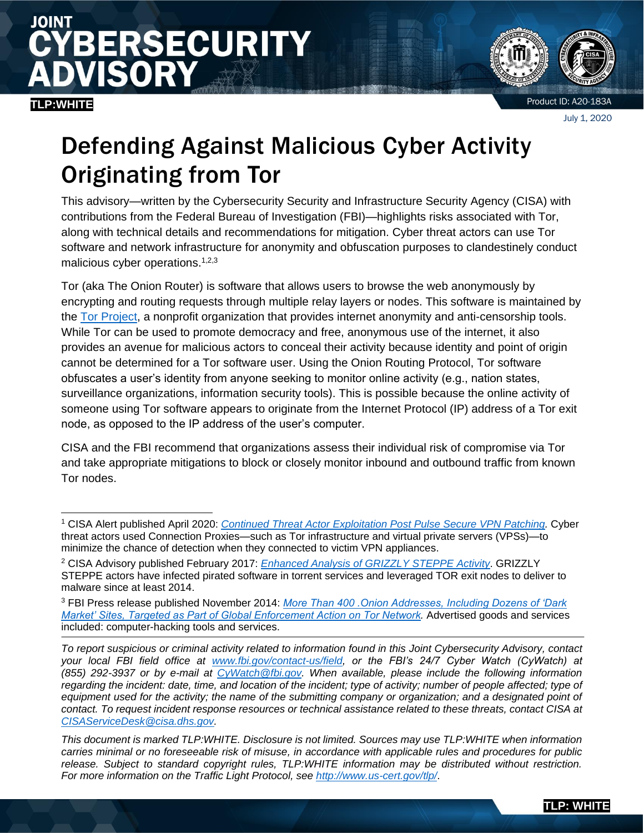# JOINT **ERSECURITY** SOR

### **TLP:WHITE**



Product ID: A20-183A

July 1, 2020

# Defending Against Malicious Cyber Activity Originating from Tor

This advisory—written by the Cybersecurity Security and Infrastructure Security Agency (CISA) with contributions from the Federal Bureau of Investigation (FBI)—highlights risks associated with Tor, along with technical details and recommendations for mitigation. Cyber threat actors can use Tor software and network infrastructure for anonymity and obfuscation purposes to clandestinely conduct malicious cyber operations.<sup>1,2,3</sup>

Tor (aka The Onion Router) is software that allows users to browse the web anonymously by encrypting and routing requests through multiple relay layers or nodes. This software is maintained by the [Tor Project,](https://www.torproject.org/) a nonprofit organization that provides internet anonymity and anti-censorship tools. While Tor can be used to promote democracy and free, anonymous use of the internet, it also provides an avenue for malicious actors to conceal their activity because identity and point of origin cannot be determined for a Tor software user. Using the Onion Routing Protocol, Tor software obfuscates a user's identity from anyone seeking to monitor online activity (e.g., nation states, surveillance organizations, information security tools). This is possible because the online activity of someone using Tor software appears to originate from the Internet Protocol (IP) address of a Tor exit node, as opposed to the IP address of the user's computer.

CISA and the FBI recommend that organizations assess their individual risk of compromise via Tor and take appropriate mitigations to block or closely monitor inbound and outbound traffic from known Tor nodes.

<sup>1</sup> CISA Alert published April 2020: *[Continued Threat Actor Exploitation Post Pulse Secure VPN Patching.](https://www.us-cert.gov/ncas/alerts/aa20-107a)* Cyber threat actors used Connection Proxies—such as Tor infrastructure and virtual private servers (VPSs)—to minimize the chance of detection when they connected to victim VPN appliances.

<sup>2</sup> CISA Advisory published February 2017: *[Enhanced Analysis of GRIZZLY STEPPE Activity](https://www.us-cert.gov/sites/default/files/publications/AR-17-20045_Enhanced_Analysis_of_GRIZZLY_STEPPE_Activity.pdf)*. GRIZZLY STEPPE actors have infected pirated software in torrent services and leveraged TOR exit nodes to deliver to malware since at least 2014.

<sup>3</sup> FBI Press release published November 2014: *[More Than 400 .Onion Addresses, Including Dozens of 'Dark](https://www.fbi.gov/news/pressrel/press-releases/more-than-400-.onion-addresses-including-dozens-of-dark-market-sites-targeted-as-part-of-global-enforcement-action-on-tor-network)  [Market' Sites, Targeted as Part of Global Enforcement Action on Tor Network.](https://www.fbi.gov/news/pressrel/press-releases/more-than-400-.onion-addresses-including-dozens-of-dark-market-sites-targeted-as-part-of-global-enforcement-action-on-tor-network)* Advertised goods and services included: computer-hacking tools and services.

*To report suspicious or criminal activity related to information found in this Joint Cybersecurity Advisory, contact your local FBI field office at [www.fbi.gov/contact-us/field,](http://www.fbi.gov/contact-us/field) or the FBI's 24/7 Cyber Watch (CyWatch) at (855) 292-3937 or by e-mail at [CyWatch@fbi.gov.](mailto:CyWatch@fbi.gov) When available, please include the following information*  regarding the incident: date, time, and location of the incident; type of activity; number of people affected; type of equipment used for the activity; the name of the submitting company or organization; and a designated point of *contact. To request incident response resources or technical assistance related to these threats, contact CISA at [CISAServiceDesk@cisa.dhs.gov.](mailto:CISAServiceDesk@cisa.dhs.gov)* 

*This document is marked TLP:WHITE. Disclosure is not limited. Sources may use TLP:WHITE when information carries minimal or no foreseeable risk of misuse, in accordance with applicable rules and procedures for public release. Subject to standard copyright rules, TLP:WHITE information may be distributed without restriction. For more information on the Traffic Light Protocol, see <http://www.us-cert.gov/tlp/>*.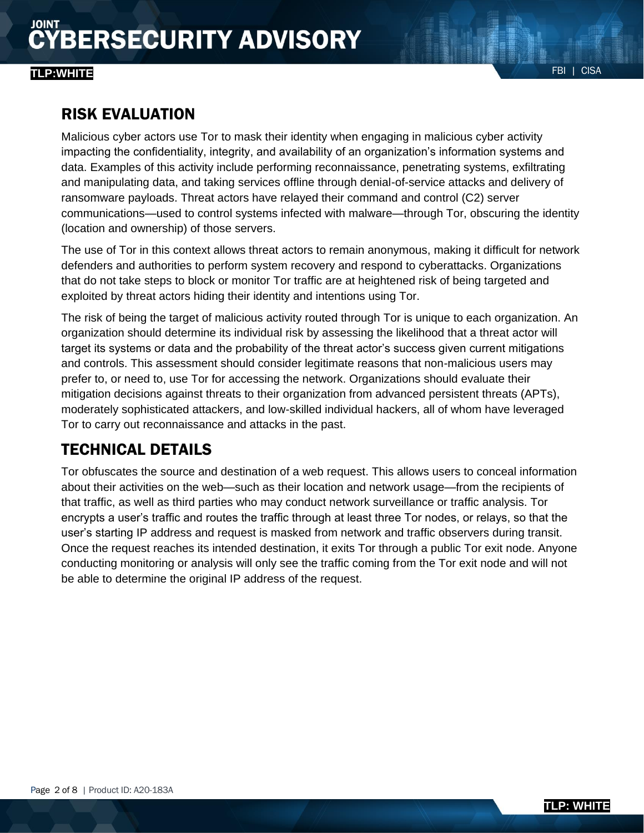### FBI | CISA **TLP:WHITE**

## RISK EVALUATION

Malicious cyber actors use Tor to mask their identity when engaging in malicious cyber activity impacting the confidentiality, integrity, and availability of an organization's information systems and data. Examples of this activity include performing reconnaissance, penetrating systems, exfiltrating and manipulating data, and taking services offline through denial-of-service attacks and delivery of ransomware payloads. Threat actors have relayed their command and control (C2) server communications—used to control systems infected with malware—through Tor, obscuring the identity (location and ownership) of those servers.

The use of Tor in this context allows threat actors to remain anonymous, making it difficult for network defenders and authorities to perform system recovery and respond to cyberattacks. Organizations that do not take steps to block or monitor Tor traffic are at heightened risk of being targeted and exploited by threat actors hiding their identity and intentions using Tor.

The risk of being the target of malicious activity routed through Tor is unique to each organization. An organization should determine its individual risk by assessing the likelihood that a threat actor will target its systems or data and the probability of the threat actor's success given current mitigations and controls. This assessment should consider legitimate reasons that non-malicious users may prefer to, or need to, use Tor for accessing the network. Organizations should evaluate their mitigation decisions against threats to their organization from advanced persistent threats (APTs), moderately sophisticated attackers, and low-skilled individual hackers, all of whom have leveraged Tor to carry out reconnaissance and attacks in the past.

# TECHNICAL DETAILS

Tor obfuscates the source and destination of a web request. This allows users to conceal information about their activities on the web—such as their location and network usage—from the recipients of that traffic, as well as third parties who may conduct network surveillance or traffic analysis. Tor encrypts a user's traffic and routes the traffic through at least three Tor nodes, or relays, so that the user's starting IP address and request is masked from network and traffic observers during transit. Once the request reaches its intended destination, it exits Tor through a public Tor exit node. Anyone conducting monitoring or analysis will only see the traffic coming from the Tor exit node and will not be able to determine the original IP address of the request.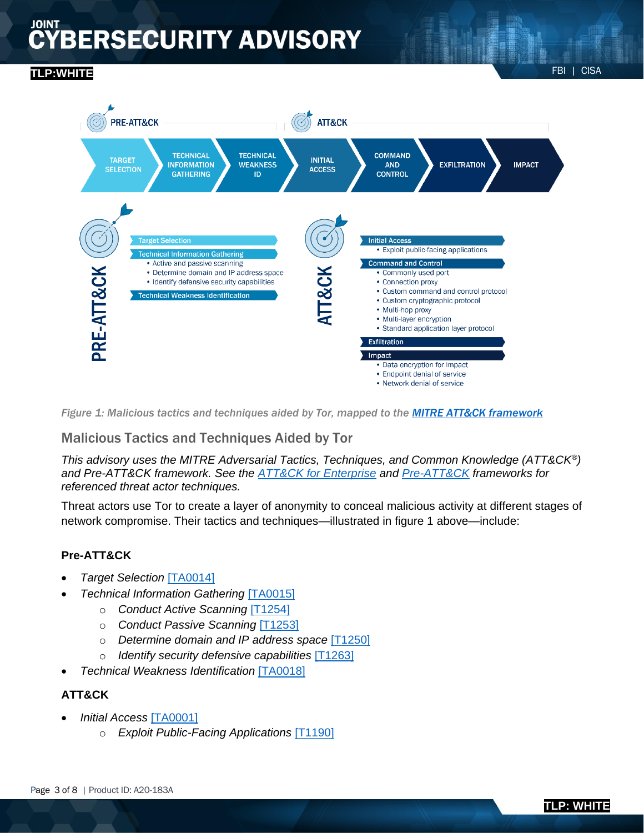# **BERSECURITY ADVISORY**

## FBI | CISA **TLP:WHITE**



*Figure 1: Malicious tactics and techniques aided by Tor, mapped to the [MITRE ATT&CK framework](https://attack.mitre.org/)*

### Malicious Tactics and Techniques Aided by Tor

*This advisory uses the MITRE Adversarial Tactics, Techniques, and Common Knowledge (ATT&CK®) and Pre-ATT&CK framework. See the [ATT&CK for Enterprise](https://attack.mitre.org/matrices/enterprise/) and [Pre-ATT&CK](https://attack.mitre.org/techniques/pre/) frameworks for referenced threat actor techniques.*

Threat actors use Tor to create a layer of anonymity to conceal malicious activity at different stages of network compromise. Their tactics and techniques—illustrated in figure 1 above—include:

#### **Pre-ATT&CK**

- *Target Selection* [\[TA0014\]](https://attack.mitre.org/tactics/TA0014/)
- *Technical Information Gathering* [\[TA0015\]](https://attack.mitre.org/tactics/TA0015/)
	- o *Conduct Active Scanning* [\[T1254\]](https://attack.mitre.org/techniques/T1254/)
	- o *Conduct Passive Scanning* [\[T1253\]](https://attack.mitre.org/techniques/T1253/)
	- o *Determine domain and IP address space* [\[T1250\]](https://attack.mitre.org/techniques/T1250/)
	- o *Identify security defensive capabilities* [\[T1263\]](https://attack.mitre.org/techniques/T1263/)
- *Technical Weakness Identification* [\[TA0018\]](https://attack.mitre.org/tactics/TA0018/)

#### **ATT&CK**

- *Initial Access* [\[TA0001\]](https://attack.mitre.org/tactics/TA0001/)
	- o *Exploit Public-Facing Applications* [\[T1190\]](https://attack.mitre.org/techniques/T1190/)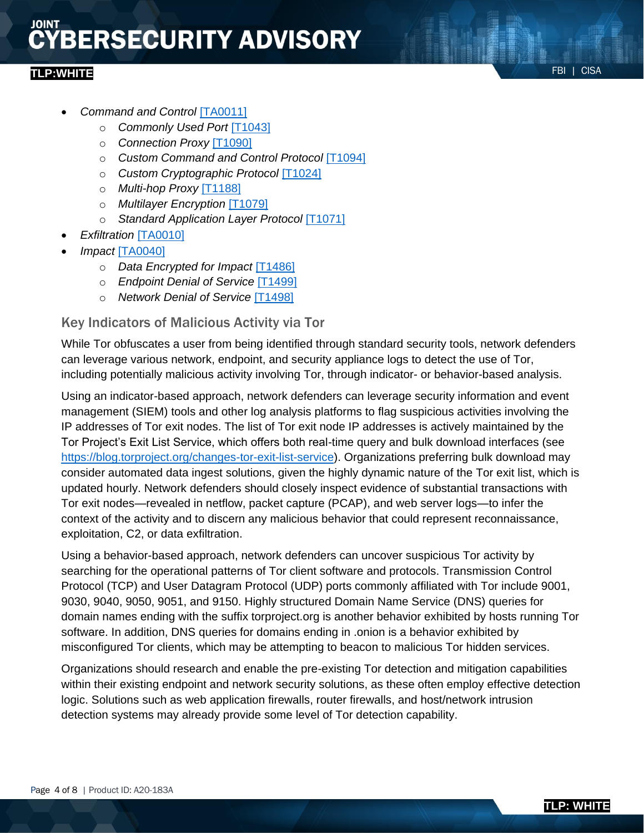# **BERSECURITY ADVISORY**

### FBI | CISA **TLP:WHITE**

- *Command and Control* [\[TA0011\]](https://attack.mitre.org/tactics/TA0011/)
	- o *Commonly Used Port* [\[T1043\]](https://attack.mitre.org/techniques/T1043/)
	- o *Connection Proxy* [\[T1090\]](https://attack.mitre.org/techniques/T1090/)
	- o *Custom Command and Control Protocol* [\[T1094\]](https://attack.mitre.org/techniques/T1094/)
	- o *Custom Cryptographic Protocol* [\[T1024\]](https://attack.mitre.org/techniques/T1024/)
	- o *Multi-hop Proxy* [\[T1188\]](https://attack.mitre.org/techniques/T1188/)
	- o *Multilayer Encryption* [\[T1079\]](https://attack.mitre.org/techniques/T1079/)
	- o *Standard Application Layer Protocol* [\[T1071\]](https://attack.mitre.org/techniques/T1071/)
- *Exfiltration* [\[TA0010\]](https://attack.mitre.org/tactics/TA0010/)
- *Impact* [\[TA0040\]](https://attack.mitre.org/tactics/TA0040/)
	- o *Data Encrypted for Impact* [\[T1486\]](https://attack.mitre.org/techniques/T1486/)
	- o *Endpoint Denial of Service* [\[T1499\]](https://attack.mitre.org/techniques/T1499/)
	- o *Network Denial of Service* [\[T1498\]](https://attack.mitre.org/techniques/T1498/)

#### Key Indicators of Malicious Activity via Tor

While Tor obfuscates a user from being identified through standard security tools, network defenders can leverage various network, endpoint, and security appliance logs to detect the use of Tor, including potentially malicious activity involving Tor, through indicator- or behavior-based analysis.

Using an indicator-based approach, network defenders can leverage security information and event management (SIEM) tools and other log analysis platforms to flag suspicious activities involving the IP addresses of Tor exit nodes. The list of Tor exit node IP addresses is actively maintained by the Tor Project's Exit List Service, which offers both real-time query and bulk download interfaces (see [https://blog.torproject.org/changes-tor-exit-list-service\)](https://blog.torproject.org/changes-tor-exit-list-service). Organizations preferring bulk download may consider automated data ingest solutions, given the highly dynamic nature of the Tor exit list, which is updated hourly. Network defenders should closely inspect evidence of substantial transactions with Tor exit nodes—revealed in netflow, packet capture (PCAP), and web server logs—to infer the context of the activity and to discern any malicious behavior that could represent reconnaissance, exploitation, C2, or data exfiltration.

Using a behavior-based approach, network defenders can uncover suspicious Tor activity by searching for the operational patterns of Tor client software and protocols. Transmission Control Protocol (TCP) and User Datagram Protocol (UDP) ports commonly affiliated with Tor include 9001, 9030, 9040, 9050, 9051, and 9150. Highly structured Domain Name Service (DNS) queries for domain names ending with the suffix torproject.org is another behavior exhibited by hosts running Tor software. In addition, DNS queries for domains ending in .onion is a behavior exhibited by misconfigured Tor clients, which may be attempting to beacon to malicious Tor hidden services.

Organizations should research and enable the pre-existing Tor detection and mitigation capabilities within their existing endpoint and network security solutions, as these often employ effective detection logic. Solutions such as web application firewalls, router firewalls, and host/network intrusion detection systems may already provide some level of Tor detection capability.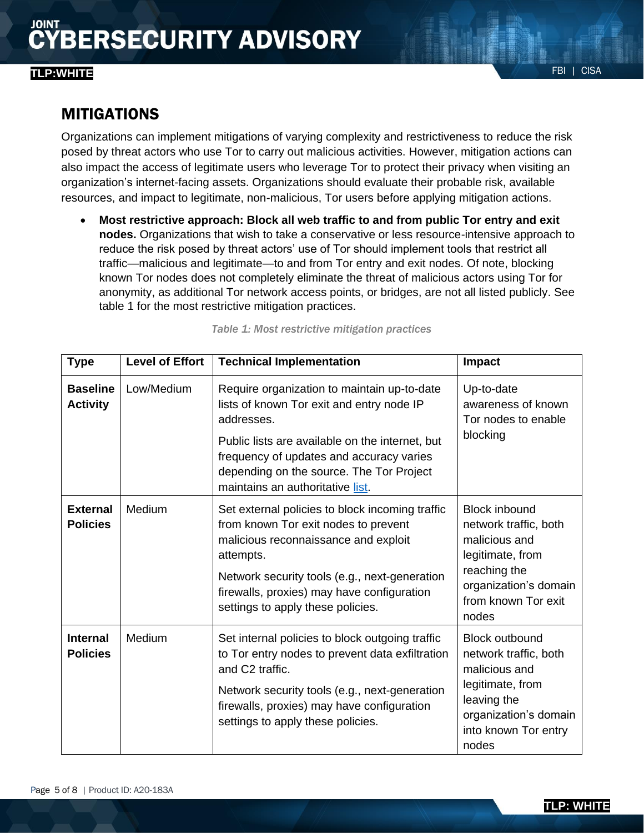## FBI | CISA **TLP:WHITE**

### MITIGATIONS

Organizations can implement mitigations of varying complexity and restrictiveness to reduce the risk posed by threat actors who use Tor to carry out malicious activities. However, mitigation actions can also impact the access of legitimate users who leverage Tor to protect their privacy when visiting an organization's internet-facing assets. Organizations should evaluate their probable risk, available resources, and impact to legitimate, non-malicious, Tor users before applying mitigation actions.

• **Most restrictive approach: Block all web traffic to and from public Tor entry and exit nodes.** Organizations that wish to take a conservative or less resource-intensive approach to reduce the risk posed by threat actors' use of Tor should implement tools that restrict all traffic—malicious and legitimate—to and from Tor entry and exit nodes. Of note, blocking known Tor nodes does not completely eliminate the threat of malicious actors using Tor for anonymity, as additional Tor network access points, or bridges, are not all listed publicly. See table 1 for the most restrictive mitigation practices.

| <b>Type</b>                        | <b>Level of Effort</b> | <b>Technical Implementation</b>                                                                                                                                                                                                                                                       | Impact                                                                                                                                                       |
|------------------------------------|------------------------|---------------------------------------------------------------------------------------------------------------------------------------------------------------------------------------------------------------------------------------------------------------------------------------|--------------------------------------------------------------------------------------------------------------------------------------------------------------|
| <b>Baseline</b><br><b>Activity</b> | Low/Medium             | Require organization to maintain up-to-date<br>lists of known Tor exit and entry node IP<br>addresses.<br>Public lists are available on the internet, but<br>frequency of updates and accuracy varies<br>depending on the source. The Tor Project<br>maintains an authoritative list. | Up-to-date<br>awareness of known<br>Tor nodes to enable<br>blocking                                                                                          |
| <b>External</b><br><b>Policies</b> | Medium                 | Set external policies to block incoming traffic<br>from known Tor exit nodes to prevent<br>malicious reconnaissance and exploit<br>attempts.<br>Network security tools (e.g., next-generation<br>firewalls, proxies) may have configuration<br>settings to apply these policies.      | <b>Block inbound</b><br>network traffic, both<br>malicious and<br>legitimate, from<br>reaching the<br>organization's domain<br>from known Tor exit<br>nodes  |
| <b>Internal</b><br><b>Policies</b> | Medium                 | Set internal policies to block outgoing traffic<br>to Tor entry nodes to prevent data exfiltration<br>and C2 traffic.<br>Network security tools (e.g., next-generation<br>firewalls, proxies) may have configuration<br>settings to apply these policies.                             | <b>Block outbound</b><br>network traffic, both<br>malicious and<br>legitimate, from<br>leaving the<br>organization's domain<br>into known Tor entry<br>nodes |

*Table 1: Most restrictive mitigation practices*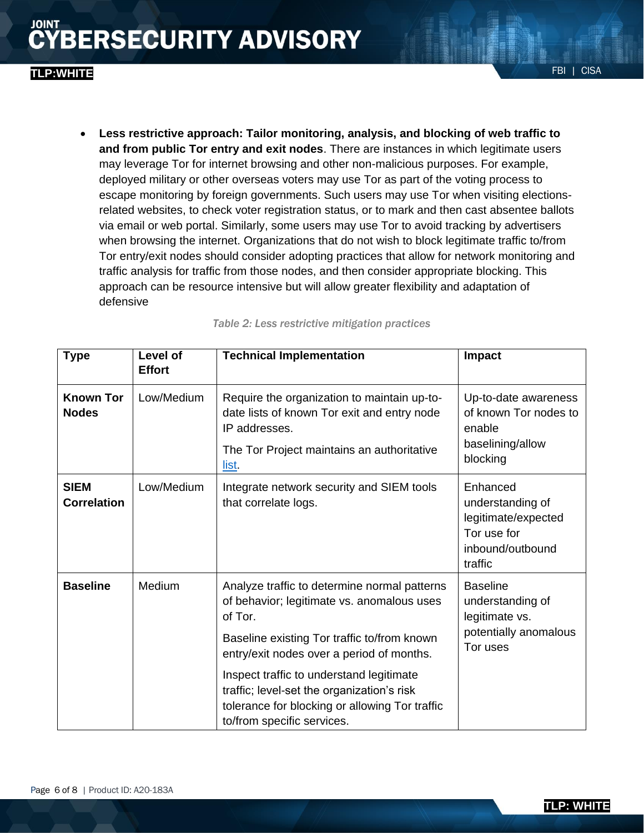• **Less restrictive approach: Tailor monitoring, analysis, and blocking of web traffic to and from public Tor entry and exit nodes**. There are instances in which legitimate users may leverage Tor for internet browsing and other non-malicious purposes. For example, deployed military or other overseas voters may use Tor as part of the voting process to escape monitoring by foreign governments. Such users may use Tor when visiting electionsrelated websites, to check voter registration status, or to mark and then cast absentee ballots via email or web portal. Similarly, some users may use Tor to avoid tracking by advertisers when browsing the internet. Organizations that do not wish to block legitimate traffic to/from Tor entry/exit nodes should consider adopting practices that allow for network monitoring and traffic analysis for traffic from those nodes, and then consider appropriate blocking. This approach can be resource intensive but will allow greater flexibility and adaptation of defensive

| <b>Type</b>                       | Level of<br><b>Effort</b> | <b>Technical Implementation</b>                                                                                                                                                                                                                                                                                                                                             | <b>Impact</b>                                                                                     |
|-----------------------------------|---------------------------|-----------------------------------------------------------------------------------------------------------------------------------------------------------------------------------------------------------------------------------------------------------------------------------------------------------------------------------------------------------------------------|---------------------------------------------------------------------------------------------------|
| <b>Known Tor</b><br><b>Nodes</b>  | Low/Medium                | Require the organization to maintain up-to-<br>date lists of known Tor exit and entry node<br>IP addresses.<br>The Tor Project maintains an authoritative<br>list.                                                                                                                                                                                                          | Up-to-date awareness<br>of known Tor nodes to<br>enable<br>baselining/allow<br>blocking           |
| <b>SIEM</b><br><b>Correlation</b> | Low/Medium                | Integrate network security and SIEM tools<br>that correlate logs.                                                                                                                                                                                                                                                                                                           | Enhanced<br>understanding of<br>legitimate/expected<br>Tor use for<br>inbound/outbound<br>traffic |
| <b>Baseline</b>                   | Medium                    | Analyze traffic to determine normal patterns<br>of behavior; legitimate vs. anomalous uses<br>of Tor.<br>Baseline existing Tor traffic to/from known<br>entry/exit nodes over a period of months.<br>Inspect traffic to understand legitimate<br>traffic; level-set the organization's risk<br>tolerance for blocking or allowing Tor traffic<br>to/from specific services. | <b>Baseline</b><br>understanding of<br>legitimate vs.<br>potentially anomalous<br>Tor uses        |

*Table 2: Less restrictive mitigation practices*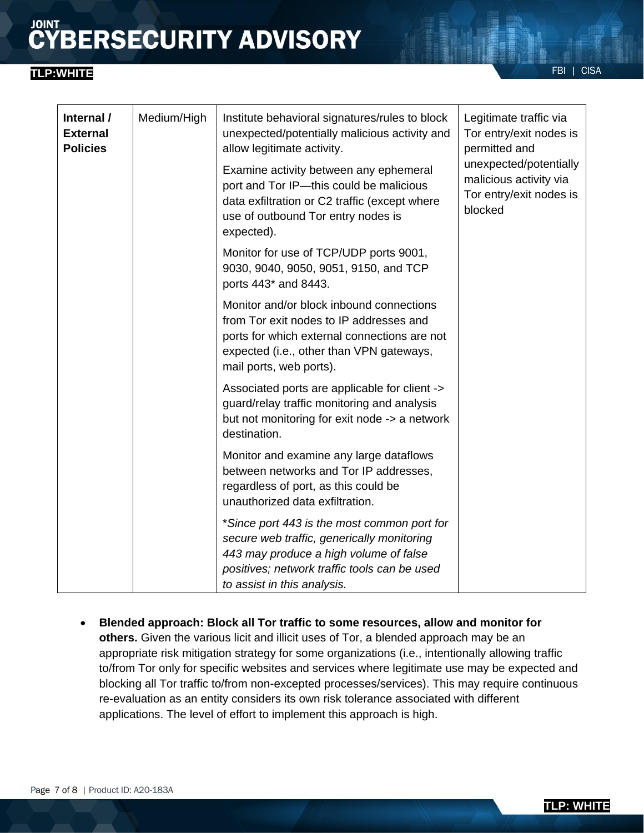# **CYBERSECURITY ADVISORY**

## FBI | CISA **TLP:WHITE**

| Internal /<br><b>External</b><br><b>Policies</b> | Medium/High | Institute behavioral signatures/rules to block<br>unexpected/potentially malicious activity and<br>allow legitimate activity.                                                                                      | Legitimate traffic via<br>Tor entry/exit nodes is<br>permitted and<br>unexpected/potentially<br>malicious activity via<br>Tor entry/exit nodes is<br>blocked |
|--------------------------------------------------|-------------|--------------------------------------------------------------------------------------------------------------------------------------------------------------------------------------------------------------------|--------------------------------------------------------------------------------------------------------------------------------------------------------------|
|                                                  |             | Examine activity between any ephemeral<br>port and Tor IP-this could be malicious<br>data exfiltration or C2 traffic (except where<br>use of outbound Tor entry nodes is<br>expected).                             |                                                                                                                                                              |
|                                                  |             | Monitor for use of TCP/UDP ports 9001,<br>9030, 9040, 9050, 9051, 9150, and TCP<br>ports 443* and 8443.                                                                                                            |                                                                                                                                                              |
|                                                  |             | Monitor and/or block inbound connections<br>from Tor exit nodes to IP addresses and<br>ports for which external connections are not<br>expected (i.e., other than VPN gateways,<br>mail ports, web ports).         |                                                                                                                                                              |
|                                                  |             | Associated ports are applicable for client -><br>guard/relay traffic monitoring and analysis<br>but not monitoring for exit node -> a network<br>destination.                                                      |                                                                                                                                                              |
|                                                  |             | Monitor and examine any large dataflows<br>between networks and Tor IP addresses,<br>regardless of port, as this could be<br>unauthorized data exfiltration.                                                       |                                                                                                                                                              |
|                                                  |             | *Since port 443 is the most common port for<br>secure web traffic, generically monitoring<br>443 may produce a high volume of false<br>positives; network traffic tools can be used<br>to assist in this analysis. |                                                                                                                                                              |

• **Blended approach: Block all Tor traffic to some resources, allow and monitor for others.** Given the various licit and illicit uses of Tor, a blended approach may be an appropriate risk mitigation strategy for some organizations (i.e., intentionally allowing traffic to/from Tor only for specific websites and services where legitimate use may be expected and blocking all Tor traffic to/from non-excepted processes/services). This may require continuous re-evaluation as an entity considers its own risk tolerance associated with different applications. The level of effort to implement this approach is high.